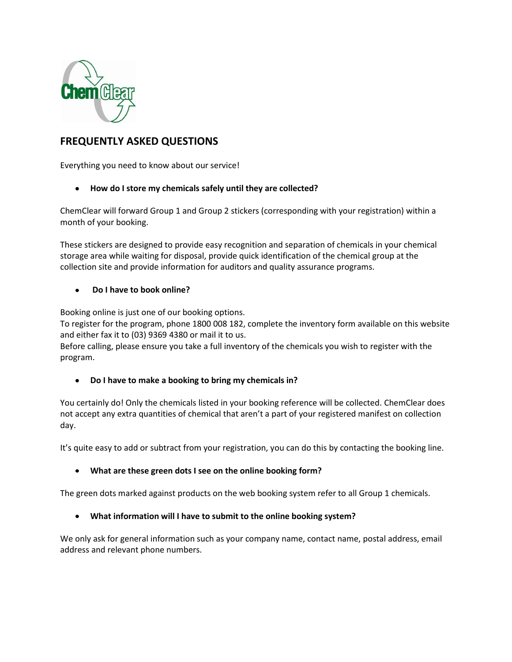

# **FREQUENTLY ASKED QUESTIONS**

Everything you need to know about our service!

## **How do I store my chemicals safely until they are collected?**

ChemClear will forward Group 1 and Group 2 stickers (corresponding with your registration) within a month of your booking.

These stickers are designed to provide easy recognition and separation of chemicals in your chemical storage area while waiting for disposal, provide quick identification of the chemical group at the collection site and provide information for auditors and quality assurance programs.

#### **Do I have to book online?**  $\bullet$

Booking online is just one of our booking options.

To register for the program, phone 1800 008 182, complete the inventory form available on this website and either fax it to (03) 9369 4380 or mail it to us.

Before calling, please ensure you take a full inventory of the chemicals you wish to register with the program.

#### $\bullet$ **Do I have to make a booking to bring my chemicals in?**

You certainly do! Only the chemicals listed in your booking reference will be collected. ChemClear does not accept any extra quantities of chemical that aren't a part of your registered manifest on collection day.

It's quite easy to add or subtract from your registration, you can do this by contacting the booking line.

### **What are these green dots I see on the online booking form?**

The green dots marked against products on the web booking system refer to all Group 1 chemicals.

### **What information will I have to submit to the online booking system?**

We only ask for general information such as your company name, contact name, postal address, email address and relevant phone numbers.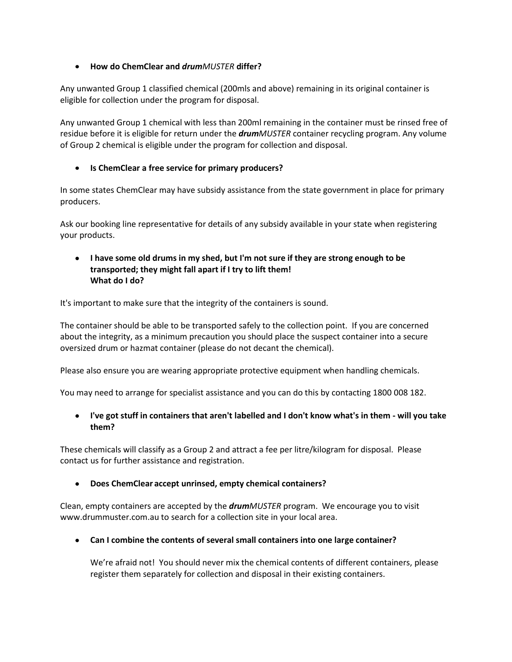### **How do ChemClear and** *drumMUSTER* **differ?**

Any unwanted Group 1 classified chemical (200mls and above) remaining in its original container is eligible for collection under the program for disposal.

Any unwanted Group 1 chemical with less than 200ml remaining in the container must be rinsed free of residue before it is eligible for return under the *drumMUSTER* container recycling program. Any volume of Group 2 chemical is eligible under the program for collection and disposal.

### **Is ChemClear a free service for primary producers?**

In some states ChemClear may have subsidy assistance from the state government in place for primary producers.

Ask our booking line representative for details of any subsidy available in your state when registering your products.

#### **I have some old drums in my shed, but I'm not sure if they are strong enough to be transported; they might fall apart if I try to lift them! What do I do?**

It's important to make sure that the integrity of the containers is sound.

The container should be able to be transported safely to the collection point. If you are concerned about the integrity, as a minimum precaution you should place the suspect container into a secure oversized drum or hazmat container (please do not decant the chemical).

Please also ensure you are wearing appropriate protective equipment when handling chemicals.

You may need to arrange for specialist assistance and you can do this by contacting 1800 008 182.

### **I've got stuff in containers that aren't labelled and I don't know what's in them - will you take them?**

These chemicals will classify as a Group 2 and attract a fee per litre/kilogram for disposal. Please contact us for further assistance and registration.

#### **Does ChemClear accept unrinsed, empty chemical containers?**  $\bullet$

Clean, empty containers are accepted by the *drumMUSTER* program. We encourage you to visit www.drummuster.com.au to search for a collection site in your local area.

**Can I combine the contents of several small containers into one large container?**

We're afraid not! You should never mix the chemical contents of different containers, please register them separately for collection and disposal in their existing containers.